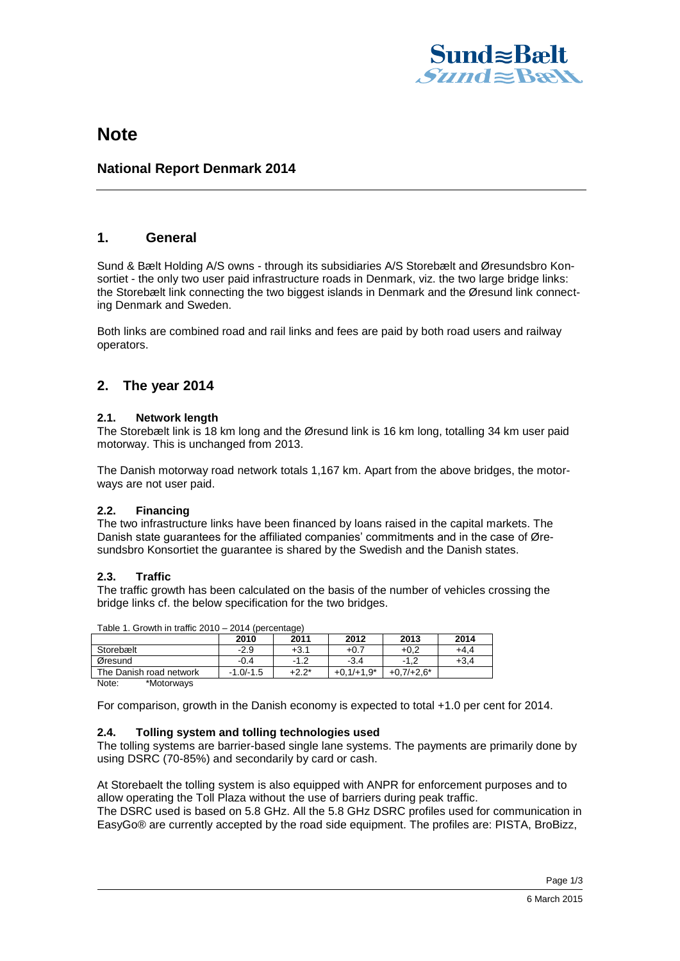

# **Note**

## **National Report Denmark 2014**

## **1. General**

Sund & Bælt Holding A/S owns - through its subsidiaries A/S Storebælt and Øresundsbro Konsortiet - the only two user paid infrastructure roads in Denmark, viz. the two large bridge links: the Storebælt link connecting the two biggest islands in Denmark and the Øresund link connecting Denmark and Sweden.

Both links are combined road and rail links and fees are paid by both road users and railway operators.

## **2. The year 2014**

#### **2.1. Network length**

The Storebælt link is 18 km long and the Øresund link is 16 km long, totalling 34 km user paid motorway. This is unchanged from 2013.

The Danish motorway road network totals 1,167 km. Apart from the above bridges, the motorways are not user paid.

## **2.2. Financing**

The two infrastructure links have been financed by loans raised in the capital markets. The Danish state guarantees for the affiliated companies' commitments and in the case of Øresundsbro Konsortiet the guarantee is shared by the Swedish and the Danish states.

### **2.3. Traffic**

The traffic growth has been calculated on the basis of the number of vehicles crossing the bridge links cf. the below specification for the two bridges.

|                         | 2010        | 2011     | 2012         | 2013         | 2014 |
|-------------------------|-------------|----------|--------------|--------------|------|
| Storebælt               | $-2.9$      | $+3.1$   | $+0.7$       | $+0.2$       | +4.4 |
| Øresund                 | $-0.4$      | $-1.2$   | $-3.4$       |              | +3.4 |
| The Danish road network | $-1.0/-1.5$ | $+2.2^*$ | $+0.1/+1.9*$ | $+0.7/+2.6*$ |      |
| .                       |             |          |              |              |      |

Table 1. Growth in traffic 2010 – 2014 (percentage)

Note: \*Motorways

For comparison, growth in the Danish economy is expected to total +1.0 per cent for 2014.

### **2.4. Tolling system and tolling technologies used**

The tolling systems are barrier-based single lane systems. The payments are primarily done by using DSRC (70-85%) and secondarily by card or cash.

At Storebaelt the tolling system is also equipped with ANPR for enforcement purposes and to allow operating the Toll Plaza without the use of barriers during peak traffic.

The DSRC used is based on 5.8 GHz. All the 5.8 GHz DSRC profiles used for communication in EasyGo® are currently accepted by the road side equipment. The profiles are: PISTA, BroBizz,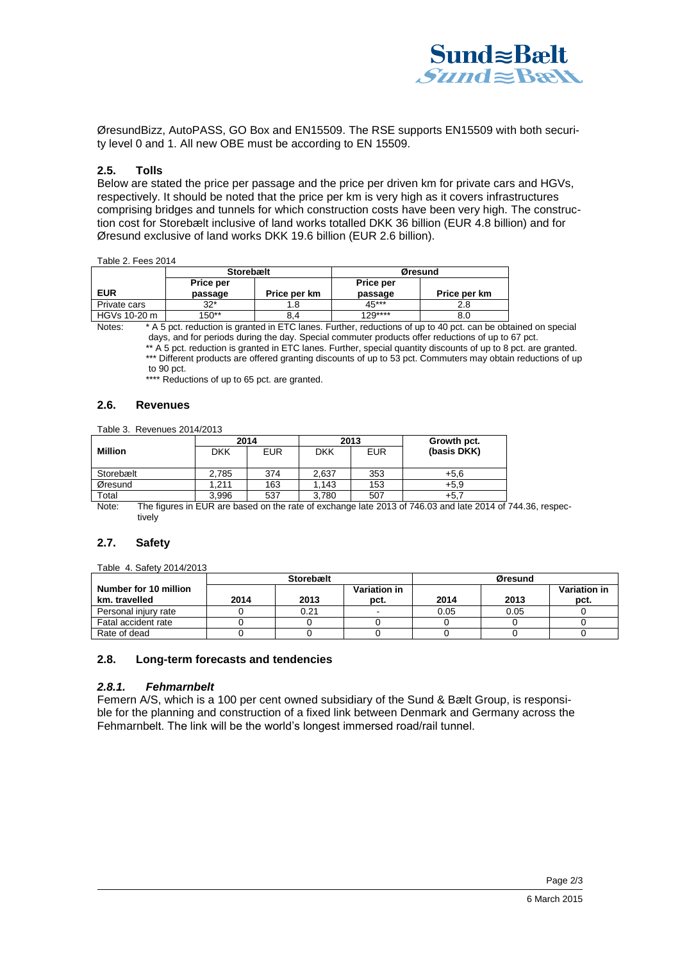

ØresundBizz, AutoPASS, GO Box and EN15509. The RSE supports EN15509 with both security level 0 and 1. All new OBE must be according to EN 15509.

#### **2.5. Tolls**

Below are stated the price per passage and the price per driven km for private cars and HGVs, respectively. It should be noted that the price per km is very high as it covers infrastructures comprising bridges and tunnels for which construction costs have been very high. The construction cost for Storebælt inclusive of land works totalled DKK 36 billion (EUR 4.8 billion) and for Øresund exclusive of land works DKK 19.6 billion (EUR 2.6 billion).

#### Table 2. Fees 2014

|              | <b>Storebælt</b>     |              | Øresund                     |              |  |
|--------------|----------------------|--------------|-----------------------------|--------------|--|
| <b>EUR</b>   | Price per<br>passage | Price per km | <b>Price per</b><br>passage | Price per km |  |
| Private cars | $32*$                | 1.8          | $45***$                     | 2.8          |  |
| HGVs 10-20 m | 150**                | 8.4          | $129***$                    | 8.0          |  |

Notes: \* A 5 pct. reduction is granted in ETC lanes. Further, reductions of up to 40 pct. can be obtained on special days, and for periods during the day. Special commuter products offer reductions of up to 67 pct.

\*\*\*\* Reductions of up to 65 pct. are granted.

#### **2.6. Revenues**

Table 3. Revenues 2014/2013

|                | 2014  |            | 2013       |            | Growth pct. |  |
|----------------|-------|------------|------------|------------|-------------|--|
| <b>Million</b> | DKK   | <b>EUR</b> | <b>DKK</b> | <b>EUR</b> | (basis DKK) |  |
|                |       |            |            |            |             |  |
| Storebælt      | 2,785 | 374        | 2,637      | 353        | $+5,6$      |  |
| Øresund        | 1.211 | 163        | .143       | 153        | +5.9        |  |
| Total          | 3.996 | 537        | 3,780      | 507        | +5.7        |  |

Note: The figures in EUR are based on the rate of exchange late 2013 of 746.03 and late 2014 of 744.36, respectively

#### **2.7. Safety**

Table 4. Safety 2014/2013

|                       | <b>Storebælt</b> |      |                          | Øresund |      |              |
|-----------------------|------------------|------|--------------------------|---------|------|--------------|
| Number for 10 million |                  |      | Variation in             |         |      | Variation in |
| km. travelled         | 2014             | 2013 | pct.                     | 2014    | 2013 | pct.         |
| Personal injury rate  |                  | 0.21 | $\overline{\phantom{a}}$ | 0.05    | 0.05 |              |
| Fatal accident rate   |                  |      |                          |         |      |              |
| Rate of dead          |                  |      |                          |         |      |              |

#### **2.8. Long-term forecasts and tendencies**

#### *2.8.1. Fehmarnbelt*

Femern A/S, which is a 100 per cent owned subsidiary of the Sund & Bælt Group, is responsible for the planning and construction of a fixed link between Denmark and Germany across the Fehmarnbelt. The link will be the world's longest immersed road/rail tunnel.

<sup>\*\*</sup> A 5 pct. reduction is granted in ETC lanes. Further, special quantity discounts of up to 8 pct. are granted. \*\*\* Different products are offered granting discounts of up to 53 pct. Commuters may obtain reductions of up

to 90 pct.